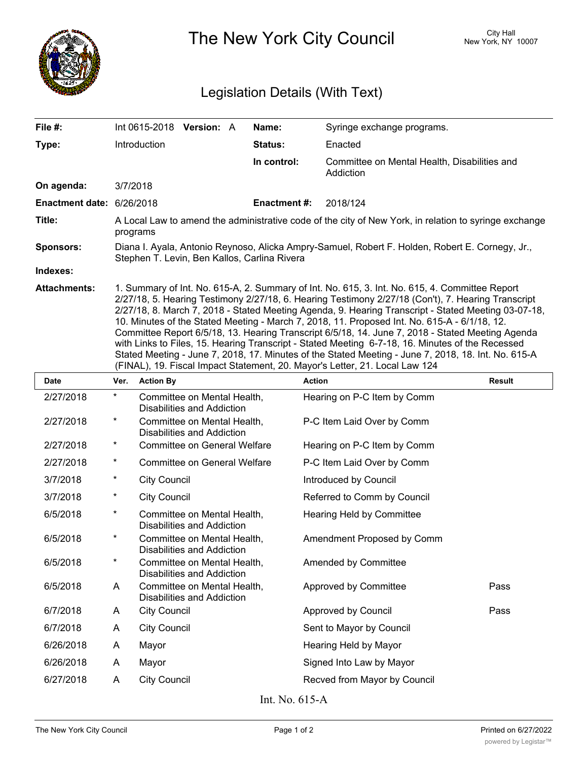

The New York City Council New York, NY 10007

## Legislation Details (With Text)

| File #:                   | Int 0615-2018 Version: A                                                                                                                                                                                                                                                                                                                                                                                                                                                                                                                                                                                                                                                                                                                                                                                  | Name:               | Syringe exchange programs.                                |  |  |
|---------------------------|-----------------------------------------------------------------------------------------------------------------------------------------------------------------------------------------------------------------------------------------------------------------------------------------------------------------------------------------------------------------------------------------------------------------------------------------------------------------------------------------------------------------------------------------------------------------------------------------------------------------------------------------------------------------------------------------------------------------------------------------------------------------------------------------------------------|---------------------|-----------------------------------------------------------|--|--|
| Type:                     | Introduction                                                                                                                                                                                                                                                                                                                                                                                                                                                                                                                                                                                                                                                                                                                                                                                              | Status:             | Enacted                                                   |  |  |
|                           |                                                                                                                                                                                                                                                                                                                                                                                                                                                                                                                                                                                                                                                                                                                                                                                                           | In control:         | Committee on Mental Health, Disabilities and<br>Addiction |  |  |
| On agenda:                | 3/7/2018                                                                                                                                                                                                                                                                                                                                                                                                                                                                                                                                                                                                                                                                                                                                                                                                  |                     |                                                           |  |  |
| Enactment date: 6/26/2018 |                                                                                                                                                                                                                                                                                                                                                                                                                                                                                                                                                                                                                                                                                                                                                                                                           | <b>Enactment #:</b> | 2018/124                                                  |  |  |
| Title:                    | A Local Law to amend the administrative code of the city of New York, in relation to syringe exchange<br>programs                                                                                                                                                                                                                                                                                                                                                                                                                                                                                                                                                                                                                                                                                         |                     |                                                           |  |  |
| <b>Sponsors:</b>          | Diana I. Ayala, Antonio Reynoso, Alicka Ampry-Samuel, Robert F. Holden, Robert E. Cornegy, Jr.,<br>Stephen T. Levin, Ben Kallos, Carlina Rivera                                                                                                                                                                                                                                                                                                                                                                                                                                                                                                                                                                                                                                                           |                     |                                                           |  |  |
| Indexes:                  |                                                                                                                                                                                                                                                                                                                                                                                                                                                                                                                                                                                                                                                                                                                                                                                                           |                     |                                                           |  |  |
| <b>Attachments:</b>       | 1. Summary of Int. No. 615-A, 2. Summary of Int. No. 615, 3. Int. No. 615, 4. Committee Report<br>2/27/18, 5. Hearing Testimony 2/27/18, 6. Hearing Testimony 2/27/18 (Con't), 7. Hearing Transcript<br>2/27/18, 8. March 7, 2018 - Stated Meeting Agenda, 9. Hearing Transcript - Stated Meeting 03-07-18,<br>10. Minutes of the Stated Meeting - March 7, 2018, 11. Proposed Int. No. 615-A - 6/1/18, 12.<br>Committee Report 6/5/18, 13. Hearing Transcript 6/5/18, 14. June 7, 2018 - Stated Meeting Agenda<br>with Links to Files, 15. Hearing Transcript - Stated Meeting 6-7-18, 16. Minutes of the Recessed<br>Stated Meeting - June 7, 2018, 17. Minutes of the Stated Meeting - June 7, 2018, 18. Int. No. 615-A<br>(FINAL), 19. Fiscal Impact Statement, 20. Mayor's Letter, 21. Local Law 124 |                     |                                                           |  |  |

| <b>Date</b> | Ver.     | <b>Action By</b>                                          | <b>Action</b>                | <b>Result</b> |
|-------------|----------|-----------------------------------------------------------|------------------------------|---------------|
| 2/27/2018   | $^\star$ | Committee on Mental Health,<br>Disabilities and Addiction | Hearing on P-C Item by Comm  |               |
| 2/27/2018   | *        | Committee on Mental Health,<br>Disabilities and Addiction | P-C Item Laid Over by Comm   |               |
| 2/27/2018   | *        | Committee on General Welfare                              | Hearing on P-C Item by Comm  |               |
| 2/27/2018   | *        | Committee on General Welfare                              | P-C Item Laid Over by Comm   |               |
| 3/7/2018    | *        | <b>City Council</b>                                       | Introduced by Council        |               |
| 3/7/2018    | *        | <b>City Council</b>                                       | Referred to Comm by Council  |               |
| 6/5/2018    | *        | Committee on Mental Health,<br>Disabilities and Addiction | Hearing Held by Committee    |               |
| 6/5/2018    | *        | Committee on Mental Health,<br>Disabilities and Addiction | Amendment Proposed by Comm   |               |
| 6/5/2018    | $^\star$ | Committee on Mental Health,<br>Disabilities and Addiction | Amended by Committee         |               |
| 6/5/2018    | A        | Committee on Mental Health,<br>Disabilities and Addiction | Approved by Committee        | Pass          |
| 6/7/2018    | A        | <b>City Council</b>                                       | Approved by Council          | Pass          |
| 6/7/2018    | A        | <b>City Council</b>                                       | Sent to Mayor by Council     |               |
| 6/26/2018   | A        | Mayor                                                     | Hearing Held by Mayor        |               |
| 6/26/2018   | A        | Mayor                                                     | Signed Into Law by Mayor     |               |
| 6/27/2018   | A        | <b>City Council</b>                                       | Recved from Mayor by Council |               |

Int. No. 615-A